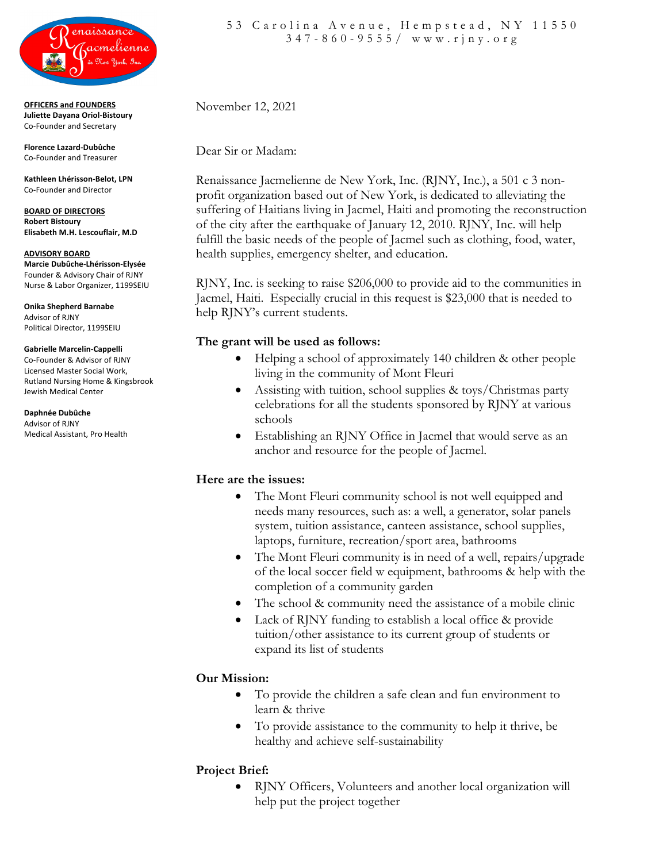

**OFFICERS and FOUNDERS Juliette Dayana Oriol-Bistoury** Co-Founder and Secretary

**Florence Lazard-Dubûche** Co-Founder and Treasurer

**Kathleen Lhérisson-Belot, LPN** Co-Founder and Director

**BOARD OF DIRECTORS Robert Bistoury Elisabeth M.H. Lescouflair, M.D**

**ADVISORY BOARD Marcie Dubûche-Lhérisson-Elysée** Founder & Advisory Chair of RJNY Nurse & Labor Organizer, 1199SEIU

**Onika Shepherd Barnabe** Advisor of RJNY Political Director, 1199SEIU

**Gabrielle Marcelin-Cappelli** Co-Founder & Advisor of RJNY Licensed Master Social Work, Rutland Nursing Home & Kingsbrook Jewish Medical Center

**Daphnée Dubûche** Advisor of RJNY Medical Assistant, Pro Health November 12, 2021

Dear Sir or Madam:

Renaissance Jacmelienne de New York, Inc. (RJNY, Inc.), a 501 c 3 nonprofit organization based out of New York, is dedicated to alleviating the suffering of Haitians living in Jacmel, Haiti and promoting the reconstruction of the city after the earthquake of January 12, 2010. RJNY, Inc. will help fulfill the basic needs of the people of Jacmel such as clothing, food, water, health supplies, emergency shelter, and education.

RJNY, Inc. is seeking to raise \$206,000 to provide aid to the communities in Jacmel, Haiti. Especially crucial in this request is \$23,000 that is needed to help RJNY's current students.

## **The grant will be used as follows:**

- Helping a school of approximately 140 children & other people living in the community of Mont Fleuri
- Assisting with tuition, school supplies & toys/Christmas party celebrations for all the students sponsored by RJNY at various schools
- Establishing an RJNY Office in Jacmel that would serve as an anchor and resource for the people of Jacmel.

# **Here are the issues:**

- The Mont Fleuri community school is not well equipped and needs many resources, such as: a well, a generator, solar panels system, tuition assistance, canteen assistance, school supplies, laptops, furniture, recreation/sport area, bathrooms
- The Mont Fleuri community is in need of a well, repairs/upgrade of the local soccer field w equipment, bathrooms & help with the completion of a community garden
- The school & community need the assistance of a mobile clinic
- Lack of RJNY funding to establish a local office & provide tuition/other assistance to its current group of students or expand its list of students

# **Our Mission:**

- To provide the children a safe clean and fun environment to learn & thrive
- To provide assistance to the community to help it thrive, be healthy and achieve self-sustainability

# **Project Brief:**

• RJNY Officers, Volunteers and another local organization will help put the project together